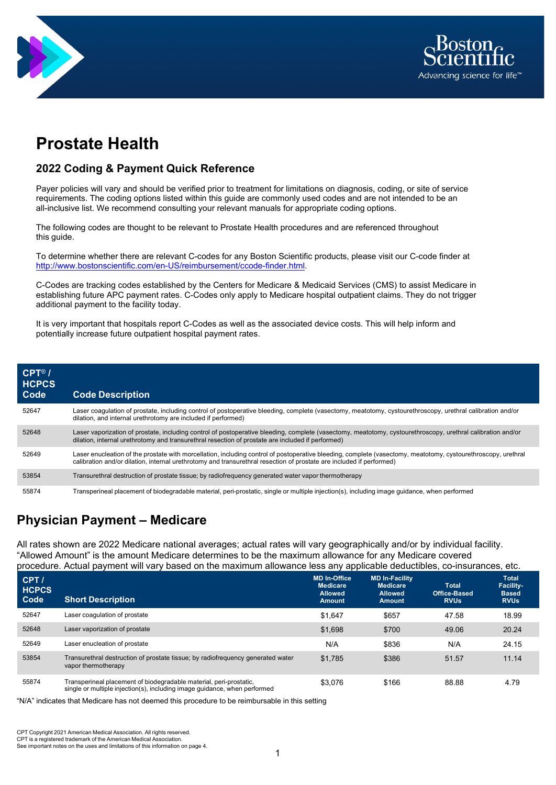



# **Prostate Health**

#### **2022 Coding & Payment Quick Reference**

Payer policies will vary and should be verified prior to treatment for limitations on diagnosis, coding, or site of service requirements. The coding options listed within this guide are commonly used codes and are not intended to be an all-inclusive list. We recommend consulting your relevant manuals for appropriate coding options.

The following codes are thought to be relevant to Prostate Health procedures and are referenced throughout this guide.

To determine whether there are relevant C-codes for any Boston Scientific products, please visit our C-code finder at [http://www.bostonscientific.com/en-US/reimbursement/ccode-finder.html.](http://www.bostonscientific.com/en-US/reimbursement/ccode-finder.html)

C-Codes are tracking codes established by the Centers for Medicare & Medicaid Services (CMS) to assist Medicare in establishing future APC payment rates. C-Codes only apply to Medicare hospital outpatient claims. They do not trigger additional payment to the facility today.

It is very important that hospitals report C-Codes as well as the associated device costs. This will help inform and potentially increase future outpatient hospital payment rates.

| $CPT^{\circledR}$ /<br><b>HCPCS</b><br>Code | <b>Code Description</b>                                                                                                                                                                                                                                                               |
|---------------------------------------------|---------------------------------------------------------------------------------------------------------------------------------------------------------------------------------------------------------------------------------------------------------------------------------------|
| 52647                                       | Laser coagulation of prostate, including control of postoperative bleeding, complete (vasectomy, meatotomy, cystourethroscopy, urethral calibration and/or<br>dilation, and internal urethrotomy are included if performed)                                                           |
| 52648                                       | Laser vaporization of prostate, including control of postoperative bleeding, complete (vasectomy, meatotomy, cystourethroscopy, urethral calibration and/or<br>dilation, internal urethrotomy and transurethral resection of prostate are included if performed)                      |
| 52649                                       | Laser enucleation of the prostate with morcellation, including control of postoperative bleeding, complete (vasectomy, meatotomy, cystourethroscopy, urethral<br>calibration and/or dilation, internal urethrotomy and transurethral resection of prostate are included if performed) |
| 53854                                       | Transurethral destruction of prostate tissue; by radiofrequency generated water vapor thermotherapy                                                                                                                                                                                   |
| 55874                                       | Transperineal placement of biodegradable material, peri-prostatic, single or multiple injection(s), including image guidance, when performed                                                                                                                                          |

# **Physician Payment – Medicare**

All rates shown are 2022 Medicare national averages; actual rates will vary geographically and/or by individual facility. "Allowed Amount" is the amount Medicare determines to be the maximum allowance for any Medicare covered procedure. Actual payment will vary based on the maximum allowance less any applicable deductibles, co-insurances, etc.

| CPT/<br><b>HCPCS</b><br>Code | <b>Short Description</b>                                                                                                                        | <b>MD In-Office</b><br><b>Medicare</b><br><b>Allowed</b><br><b>Amount</b> | <b>MD In-Facility</b><br><b>Medicare</b><br><b>Allowed</b><br><b>Amount</b> | <b>Total</b><br>Office-Based<br><b>RVUs</b> | <b>Total</b><br><b>Facility-</b><br><b>Based</b><br><b>RVU<sub>s</sub></b> |
|------------------------------|-------------------------------------------------------------------------------------------------------------------------------------------------|---------------------------------------------------------------------------|-----------------------------------------------------------------------------|---------------------------------------------|----------------------------------------------------------------------------|
| 52647                        | Laser coagulation of prostate                                                                                                                   | \$1.647                                                                   | \$657                                                                       | 47.58                                       | 18.99                                                                      |
| 52648                        | Laser vaporization of prostate                                                                                                                  | \$1.698                                                                   | \$700                                                                       | 49.06                                       | 20.24                                                                      |
| 52649                        | Laser enucleation of prostate                                                                                                                   | N/A                                                                       | \$836                                                                       | N/A                                         | 24.15                                                                      |
| 53854                        | Transurethral destruction of prostate tissue; by radiofrequency generated water<br>vapor thermotherapy                                          | \$1.785                                                                   | \$386                                                                       | 51.57                                       | 11.14                                                                      |
| 55874                        | Transperineal placement of biodegradable material, peri-prostatic,<br>single or multiple injection(s), including image guidance, when performed | \$3,076                                                                   | \$166                                                                       | 88.88                                       | 4.79                                                                       |

"N/A" indicates that Medicare has not deemed this procedure to be reimbursable in this setting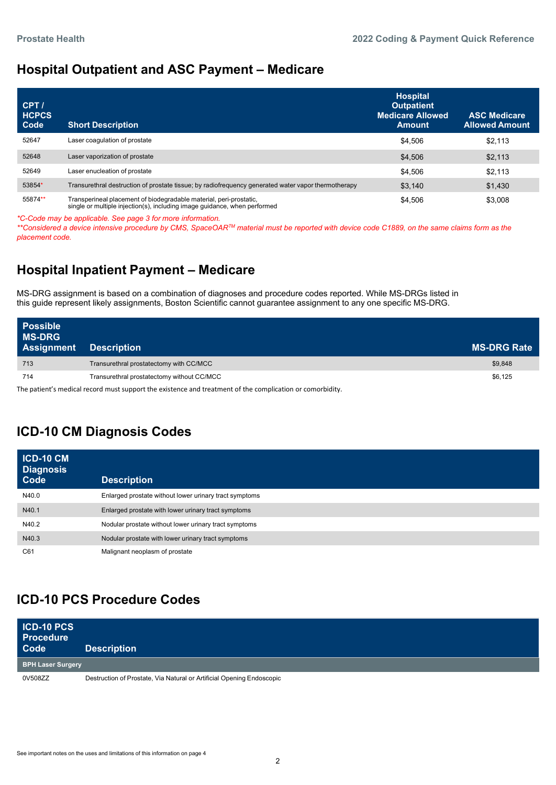#### **Hospital Outpatient and ASC Payment – Medicare**

| CPT/<br><b>HCPCS</b><br>Code | <b>Short Description</b>                                                                                                                        | <b>Hospital</b><br><b>Outpatient</b><br><b>Medicare Allowed</b><br><b>Amount</b> | <b>ASC Medicare</b><br><b>Allowed Amount</b> |
|------------------------------|-------------------------------------------------------------------------------------------------------------------------------------------------|----------------------------------------------------------------------------------|----------------------------------------------|
| 52647                        | Laser coagulation of prostate                                                                                                                   | \$4,506                                                                          | \$2.113                                      |
| 52648                        | Laser vaporization of prostate                                                                                                                  | \$4,506                                                                          | \$2,113                                      |
| 52649                        | Laser enucleation of prostate                                                                                                                   | \$4.506                                                                          | \$2,113                                      |
| 53854*                       | Transurethral destruction of prostate tissue; by radiofrequency generated water vapor thermotherapy                                             | \$3,140                                                                          | \$1,430                                      |
| 55874**                      | Transperineal placement of biodegradable material, peri-prostatic,<br>single or multiple injection(s), including image guidance, when performed | \$4,506                                                                          | \$3,008                                      |

*\*C-Code may be applicable. See page 3 for more information.*

*\*\*Considered a device intensive procedure by CMS, SpaceOARTM material must be reported with device code C1889, on the same claims form as the placement code.*

## **Hospital Inpatient Payment – Medicare**

MS-DRG assignment is based on a combination of diagnoses and procedure codes reported. While MS-DRGs listed in this guide represent likely assignments, Boston Scientific cannot guarantee assignment to any one specific MS-DRG.

| <b>Possible</b><br><b>MS-DRG</b><br>Assignment | <b>Description</b>                         | <b>MS-DRG Rate</b> |
|------------------------------------------------|--------------------------------------------|--------------------|
| 713                                            | Transurethral prostatectomy with CC/MCC    | \$9,848            |
| 714                                            | Transurethral prostatectomy without CC/MCC | \$6.125            |
|                                                |                                            |                    |

The patient's medical record must support the existence and treatment of the complication or comorbidity.

# **ICD-10 CM Diagnosis Codes**

| <b>ICD-10 CM</b><br><b>Diagnosis</b><br>Code | <b>Description</b>                                     |
|----------------------------------------------|--------------------------------------------------------|
| N40.0                                        | Enlarged prostate without lower urinary tract symptoms |
| N40.1                                        | Enlarged prostate with lower urinary tract symptoms    |
| N40.2                                        | Nodular prostate without lower urinary tract symptoms  |
| N40.3                                        | Nodular prostate with lower urinary tract symptoms     |
| C61                                          | Malignant neoplasm of prostate                         |

### **ICD-10 PCS Procedure Codes**

| <b>ICD-10 PCS</b><br><b>Procedure</b><br>Code | <b>Description</b>                                                    |  |
|-----------------------------------------------|-----------------------------------------------------------------------|--|
| <b>BPH Laser Surgery</b>                      |                                                                       |  |
| 0V508ZZ                                       | Destruction of Prostate, Via Natural or Artificial Opening Endoscopic |  |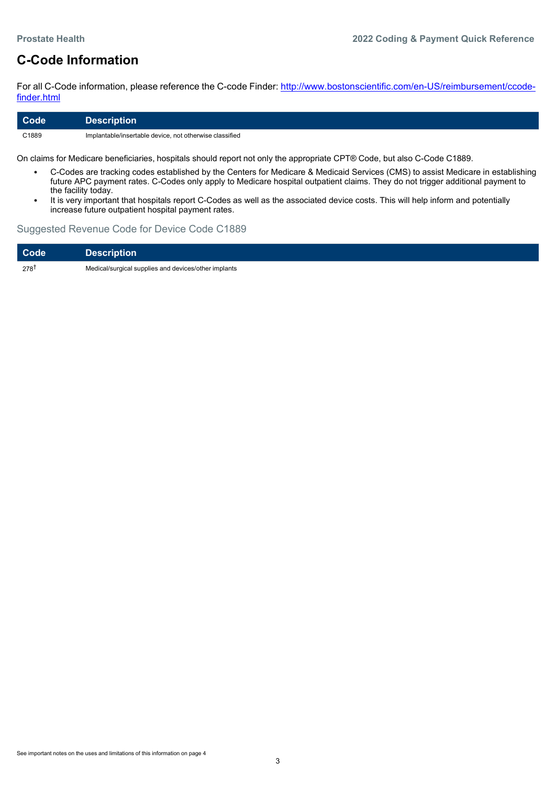### **C-Code Information**

For all C-Code information, please reference the C-code Finder: [http://www.bostonscientific.com/en-US/reimbursement/ccode](http://www.bostonscientific.com/en-US/reimbursement/ccode-finder.html)[finder.html](http://www.bostonscientific.com/en-US/reimbursement/ccode-finder.html)

| <b>Code</b> | ∣ Description <sup>∣</sup>                              |
|-------------|---------------------------------------------------------|
| C1889       | Implantable/insertable device, not otherwise classified |

On claims for Medicare beneficiaries, hospitals should report not only the appropriate CPT® Code, but also C-Code C1889.

- C-Codes are tracking codes established by the Centers for Medicare & Medicaid Services (CMS) to assist Medicare in establishing future APC payment rates. C-Codes only apply to Medicare hospital outpatient claims. They do not trigger additional payment to the facility today.
- It is very important that hospitals report C-Codes as well as the associated device costs. This will help inform and potentially increase future outpatient hospital payment rates.

#### Suggested Revenue Code for Device Code C1889

| Code            | <b>Description</b>                                   |
|-----------------|------------------------------------------------------|
| $278^{\dagger}$ | Medical/surgical supplies and devices/other implants |